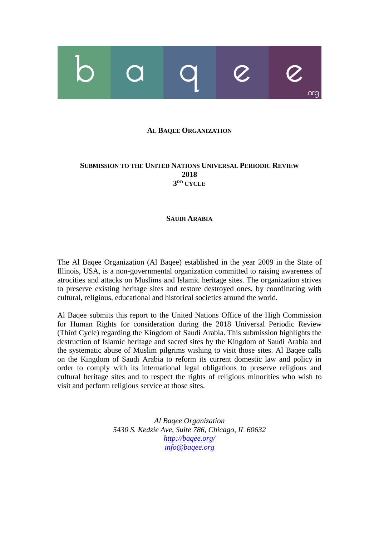# ora

#### **AL BAQEE ORGANIZATION**

## **SUBMISSION TO THE UNITED NATIONS UNIVERSAL PERIODIC REVIEW 2018 3 RD CYCLE**

#### **SAUDI ARABIA**

The Al Baqee Organization (Al Baqee) established in the year 2009 in the State of Illinois, USA, is a non-governmental organization committed to raising awareness of atrocities and attacks on Muslims and Islamic heritage sites. The organization strives to preserve existing heritage sites and restore destroyed ones, by coordinating with cultural, religious, educational and historical societies around the world.

Al Baqee submits this report to the United Nations Office of the High Commission for Human Rights for consideration during the 2018 Universal Periodic Review (Third Cycle) regarding the Kingdom of Saudi Arabia. This submission highlights the destruction of Islamic heritage and sacred sites by the Kingdom of Saudi Arabia and the systematic abuse of Muslim pilgrims wishing to visit those sites. Al Baqee calls on the Kingdom of Saudi Arabia to reform its current domestic law and policy in order to comply with its international legal obligations to preserve religious and cultural heritage sites and to respect the rights of religious minorities who wish to visit and perform religious service at those sites.

> *Al Baqee Organization 5430 S. Kedzie Ave, Suite 786, Chicago, IL 60632 <http://baqee.org/> [info@baqee.org](mailto:info@baqee.org)*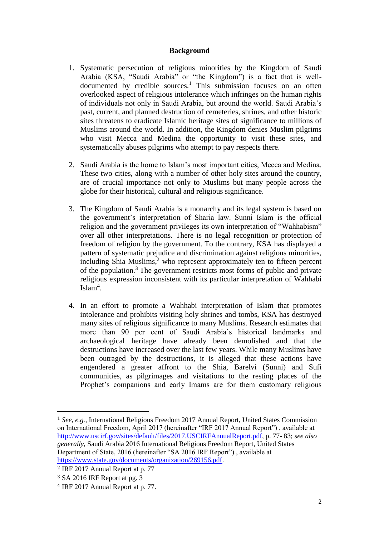## **Background**

- 1. Systematic persecution of religious minorities by the Kingdom of Saudi Arabia (KSA, "Saudi Arabia" or "the Kingdom") is a fact that is welldocumented by credible sources.<sup>1</sup> This submission focuses on an often overlooked aspect of religious intolerance which infringes on the human rights of individuals not only in Saudi Arabia, but around the world. Saudi Arabia's past, current, and planned destruction of cemeteries, shrines, and other historic sites threatens to eradicate Islamic heritage sites of significance to millions of Muslims around the world. In addition, the Kingdom denies Muslim pilgrims who visit Mecca and Medina the opportunity to visit these sites, and systematically abuses pilgrims who attempt to pay respects there.
- 2. Saudi Arabia is the home to Islam's most important cities, Mecca and Medina. These two cities, along with a number of other holy sites around the country, are of crucial importance not only to Muslims but many people across the globe for their historical, cultural and religious significance.
- 3. The Kingdom of Saudi Arabia is a monarchy and its legal system is based on the government's interpretation of Sharia law. Sunni Islam is the official religion and the government privileges its own interpretation of "Wahhabism" over all other interpretations. There is no legal recognition or protection of freedom of religion by the government. To the contrary, KSA has displayed a pattern of systematic prejudice and discrimination against religious minorities, including Shia Muslims, <sup>2</sup> who represent approximately ten to fifteen percent of the population.<sup>3</sup> The government restricts most forms of public and private religious expression inconsistent with its particular interpretation of Wahhabi Islam<sup>4</sup>.
- 4. In an effort to promote a Wahhabi interpretation of Islam that promotes intolerance and prohibits visiting holy shrines and tombs, KSA has destroyed many sites of religious significance to many Muslims. Research estimates that more than 90 per cent of Saudi Arabia's historical landmarks and archaeological heritage have already been demolished and that the destructions have increased over the last few years. While many Muslims have been outraged by the destructions, it is alleged that these actions have engendered a greater affront to the Shia, Barelvi (Sunni) and Sufi communities, as pilgrimages and visitations to the resting places of the Prophet's companions and early Imams are for them customary religious

 $\overline{\phantom{a}}$ 

<sup>1</sup> *See, e.g.,* International Religious Freedom 2017 Annual Report, United States Commission on International Freedom, April 2017 (hereinafter "IRF 2017 Annual Report") , available at [http://www.uscirf.gov/sites/default/files/2017.USCIRFAnnualReport.pdf,](http://www.uscirf.gov/sites/default/files/2017.USCIRFAnnualReport.pdf) p. 77- 83; *see also generally,* Saudi Arabia 2016 International Religious Freedom Report, United States Department of State, 2016 (hereinafter "SA 2016 IRF Report") , available at [https://www.state.gov/documents/organization/269156.pdf.](https://www.state.gov/documents/organization/269156.pdf)

<sup>2</sup> IRF 2017 Annual Report at p. 77

<sup>3</sup> SA 2016 IRF Report at pg. 3

<sup>4</sup> IRF 2017 Annual Report at p. 77.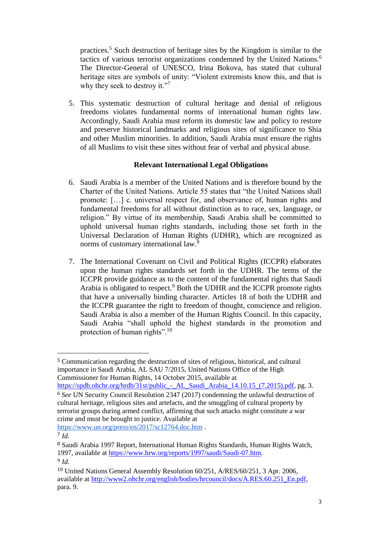practices.<sup>5</sup> Such destruction of heritage sites by the Kingdom is similar to the tactics of various terrorist organizations condemned by the United Nations.<sup>6</sup> The Director-General of UNESCO, Irina Bokova, has stated that cultural heritage sites are symbols of unity: "Violent extremists know this, and that is why they seek to destroy it."<sup>7</sup>

5. This systematic destruction of cultural heritage and denial of religious freedoms violates fundamental norms of international human rights law. Accordingly, Saudi Arabia must reform its domestic law and policy to restore and preserve historical landmarks and religious sites of significance to Shia and other Muslim minorities. In addition, Saudi Arabia must ensure the rights of all Muslims to visit these sites without fear of verbal and physical abuse.

# **Relevant International Legal Obligations**

- 6. Saudi Arabia is a member of the United Nations and is therefore bound by the Charter of the United Nations. Article 55 states that "the United Nations shall promote: […] c. universal respect for, and observance of, human rights and fundamental freedoms for all without distinction as to race, sex, language, or religion." By virtue of its membership, Saudi Arabia shall be committed to uphold universal human rights standards, including those set forth in the Universal Declaration of Human Rights (UDHR), which are recognized as norms of customary international law.<sup>8</sup>
- 7. The International Covenant on Civil and Political Rights (ICCPR) elaborates upon the human rights standards set forth in the UDHR. The terms of the ICCPR provide guidance as to the content of the fundamental rights that Saudi Arabia is obligated to respect.<sup>9</sup> Both the UDHR and the ICCPR promote rights that have a universally binding character. Articles 18 of both the UDHR and the ICCPR guarantee the right to freedom of thought, conscience and religion. Saudi Arabia is also a member of the Human Rights Council. In this capacity, Saudi Arabia "shall uphold the highest standards in the promotion and protection of human rights".<sup>10</sup>

<https://www.un.org/press/en/2017/sc12764.doc.htm> .

 $\overline{a}$ 

<sup>5</sup> Communication regarding the destruction of sites of religious, historical, and cultural importance in Saudi Arabia, AL SAU 7/2015, United Nations Office of the High Commissioner for Human Rights, 14 October 2015, available at

[https://spdb.ohchr.org/hrdb/31st/public\\_-\\_AL\\_Saudi\\_Arabia\\_14.10.15\\_\(7.2015\).pdf,](https://spdb.ohchr.org/hrdb/31st/public_-_AL_Saudi_Arabia_14.10.15_(7.2015).pdf) pg. 3. <sup>6</sup> *See* UN Security Council Resolution 2347 (2017) condemning the unlawful destruction of cultural heritage, religious sites and artefacts, and the smuggling of cultural property by terrorist groups during armed conflict, affirming that such attacks might constitute a war crime and must be brought to justice. Available at

<sup>7</sup> *Id.*

<sup>8</sup> Saudi Arabia 1997 Report, International Human Rights Standards, Human Rights Watch, 1997, available at [https://www.hrw.org/reports/1997/saudi/Saudi-07.htm.](https://www.hrw.org/reports/1997/saudi/Saudi-07.htm) <sup>9</sup> *Id.*

<sup>10</sup> United Nations General Assembly Resolution 60/251, A/RES/60/251, 3 Apr. 2006, available at [http://www2.ohchr.org/english/bodies/hrcouncil/docs/A.RES.60.251\\_En.pdf,](http://www2.ohchr.org/english/bodies/hrcouncil/docs/A.RES.60.251_En.pdf) para. 9.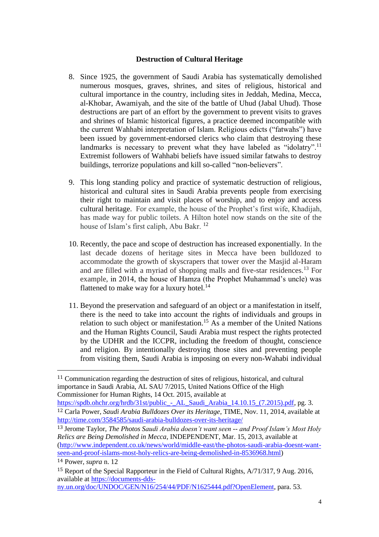#### **Destruction of Cultural Heritage**

- 8. Since 1925, the government of Saudi Arabia has systematically demolished numerous mosques, graves, shrines, and sites of religious, historical and cultural importance in the country, including sites in Jeddah, Medina, Mecca, al-Khobar, Awamiyah, and the site of the battle of Uhud (Jabal Uhud). Those destructions are part of an effort by the government to prevent visits to graves and shrines of Islamic historical figures, a practice deemed incompatible with the current Wahhabi interpretation of Islam. Religious edicts ("fatwahs") have been issued by government-endorsed clerics who claim that destroying these landmarks is necessary to prevent what they have labeled as "idolatry".<sup>11</sup> Extremist followers of Wahhabi beliefs have issued similar fatwahs to destroy buildings, terrorize populations and kill so-called "non-believers".
- 9. This long standing policy and practice of systematic destruction of religious, historical and cultural sites in Saudi Arabia prevents people from exercising their right to maintain and visit places of worship, and to enjoy and access cultural heritage. For example, the house of the Prophet's first wife, Khadijah, has made way for [public toilets.](http://www.nytimes.com/2014/10/01/opinion/the-destruction-of-mecca.html) A [Hilton hotel](http://www.theguardian.com/artanddesign/2012/oct/23/mecca-architecture-hajj1) now stands on the site of the house of Islam's first caliph, Abu Bakr. <sup>12</sup>
- 10. Recently, the pace and scope of destruction has increased exponentially. In the last decade dozens of heritage sites in Mecca have been bulldozed to accommodate the growth of skyscrapers that tower over the Masjid al-Haram and are filled with a myriad of shopping malls and five-star residences.<sup>13</sup> For example, in 2014, the house of Hamza (the Prophet Muhammad's uncle) was flattened to make way for a luxury hotel. $14$
- 11. Beyond the preservation and safeguard of an object or a manifestation in itself, there is the need to take into account the rights of individuals and groups in relation to such object or manifestation.<sup>15</sup> As a member of the United Nations and the Human Rights Council, Saudi Arabia must respect the rights protected by the UDHR and the ICCPR, including the freedom of thought, conscience and religion. By intentionally destroying those sites and preventing people from visiting them, Saudi Arabia is imposing on every non-Wahabi individual

<sup>13</sup> Jerome Taylor, *The Photos Saudi Arabia doesn't want seen -- and Proof Islam's Most Holy Relics are Being Demolished in Mecca*, INDEPENDENT, Mar. 15, 2013, available at [\(http://www.independent.co.uk/news/world/middle-east/the-photos-saudi-arabia-doesnt-want](http://www.independent.co.uk/news/world/middle-east/the-photos-saudi-arabia-doesnt-want-seen-and-proof-islams-most-holy-relics-are-being-demolished-in-8536968.html)[seen-and-proof-islams-most-holy-relics-are-being-demolished-in-8536968.html\)](http://www.independent.co.uk/news/world/middle-east/the-photos-saudi-arabia-doesnt-want-seen-and-proof-islams-most-holy-relics-are-being-demolished-in-8536968.html)

 $\overline{\phantom{a}}$ 

[ny.un.org/doc/UNDOC/GEN/N16/254/44/PDF/N1625444.pdf?OpenElement,](https://documents-dds-ny.un.org/doc/UNDOC/GEN/N16/254/44/PDF/N1625444.pdf?OpenElement) para. 53.

<sup>11</sup> Communication regarding the destruction of sites of religious, historical, and cultural importance in Saudi Arabia, AL SAU 7/2015, United Nations Office of the High Commissioner for Human Rights, 14 Oct. 2015, available at

[https://spdb.ohchr.org/hrdb/31st/public\\_-\\_AL\\_Saudi\\_Arabia\\_14.10.15\\_\(7.2015\).pdf,](https://spdb.ohchr.org/hrdb/31st/public_-_AL_Saudi_Arabia_14.10.15_(7.2015).pdf) pg. 3. <sup>12</sup> Carla Power, *Saudi Arabia Bulldozes Over its Heritage*, TIME, Nov. 11, 2014, available at <http://time.com/3584585/saudi-arabia-bulldozes-over-its-heritage/>

<sup>14</sup> Power, *supra* n. 12

<sup>15</sup> Report of the Special Rapporteur in the Field of Cultural Rights, A/71/317, 9 Aug. 2016, available at [https://documents-dds-](https://documents-dds-ny.un.org/doc/UNDOC/GEN/N16/254/44/PDF/N1625444.pdf?OpenElement)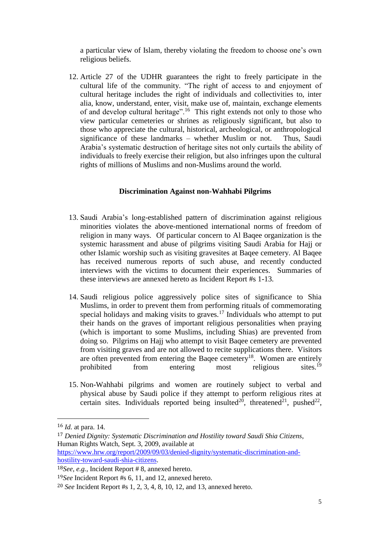a particular view of Islam, thereby violating the freedom to choose one's own religious beliefs.

12. Article 27 of the UDHR guarantees the right to freely participate in the cultural life of the community. "The right of access to and enjoyment of cultural heritage includes the right of individuals and collectivities to, inter alia, know, understand, enter, visit, make use of, maintain, exchange elements of and develop cultural heritage".<sup>16</sup> This right extends not only to those who view particular cemeteries or shrines as religiously significant, but also to those who appreciate the cultural, historical, archeological, or anthropological significance of these landmarks – whether Muslim or not. Thus, Saudi Arabia's systematic destruction of heritage sites not only curtails the ability of individuals to freely exercise their religion, but also infringes upon the cultural rights of millions of Muslims and non-Muslims around the world.

#### **Discrimination Against non-Wahhabi Pilgrims**

- 13. Saudi Arabia's long-established pattern of discrimination against religious minorities violates the above-mentioned international norms of freedom of religion in many ways. Of particular concern to Al Baqee organization is the systemic harassment and abuse of pilgrims visiting Saudi Arabia for Hajj or other Islamic worship such as visiting gravesites at Baqee cemetery. Al Baqee has received numerous reports of such abuse, and recently conducted interviews with the victims to document their experiences. Summaries of these interviews are annexed hereto as Incident Report #s 1-13.
- 14. Saudi religious police aggressively police sites of significance to Shia Muslims, in order to prevent them from performing rituals of commemorating special holidays and making visits to graves.<sup>17</sup> Individuals who attempt to put their hands on the graves of important religious personalities when praying (which is important to some Muslims, including Shias) are prevented from doing so. Pilgrims on Hajj who attempt to visit Baqee cemetery are prevented from visiting graves and are not allowed to recite supplications there. Visitors are often prevented from entering the Baqee cemetery<sup>18</sup>. Women are entirely prohibited from entering most religious sites.<sup>19</sup>
- 15. Non-Wahhabi pilgrims and women are routinely subject to verbal and physical abuse by Saudi police if they attempt to perform religious rites at certain sites. Individuals reported being insulted<sup>20</sup>, threatened<sup>21</sup>, pushed<sup>22</sup>,

 $\overline{\phantom{a}}$ 

<sup>16</sup> *Id.* at para. 14.

<sup>17</sup> *Denied Dignity: Systematic Discrimination and Hostility toward Saudi Shia Citizens*, Human Rights Watch, Sept. 3, 2009, available at [https://www.hrw.org/report/2009/09/03/denied-dignity/systematic-discrimination-and](https://www.hrw.org/report/2009/09/03/denied-dignity/systematic-discrimination-and-hostility-toward-saudi-shia-citizens)[hostility-toward-saudi-shia-citizens.](https://www.hrw.org/report/2009/09/03/denied-dignity/systematic-discrimination-and-hostility-toward-saudi-shia-citizens)

<sup>18</sup>*See, e.g.,* Incident Report # 8, annexed hereto.

<sup>19</sup>*See* Incident Report #s 6, 11, and 12, annexed hereto.

<sup>20</sup> *See* Incident Report #s 1, 2, 3, 4, 8, 10, 12, and 13, annexed hereto.